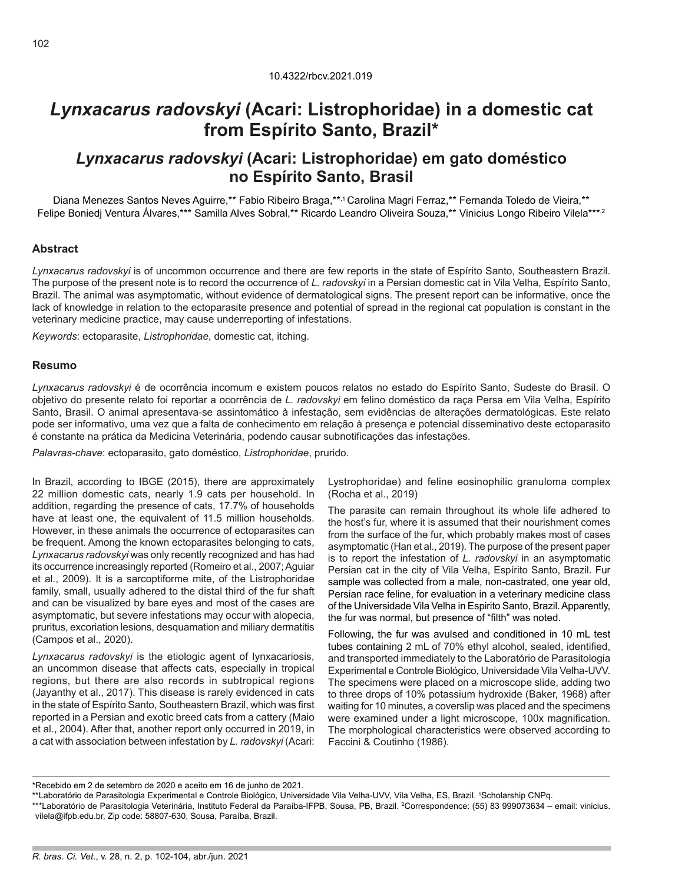# *Lynxacarus radovskyi* **(Acari: Listrophoridae) in a domestic cat from Espírito Santo, Brazil\***

## *Lynxacarus radovskyi* **(Acari: Listrophoridae) em gato doméstico no Espírito Santo, Brasil**

Diana Menezes Santos Neves Aguirre,\*\* Fabio Ribeiro Braga,\*\*,1 Carolina Magri Ferraz,\*\* Fernanda Toledo de Vieira,\*\* Felipe Boniedj Ventura Álvares,\*\*\* Samilla Alves Sobral,\*\* Ricardo Leandro Oliveira Souza,\*\* Vinicius Longo Ribeiro Vilela\*\*\*,2

#### **Abstract**

*Lynxacarus radovskyi* is of uncommon occurrence and there are few reports in the state of Espírito Santo, Southeastern Brazil. The purpose of the present note is to record the occurrence of *L. radovskyi* in a Persian domestic cat in Vila Velha, Espírito Santo, Brazil. The animal was asymptomatic, without evidence of dermatological signs. The present report can be informative, once the lack of knowledge in relation to the ectoparasite presence and potential of spread in the regional cat population is constant in the veterinary medicine practice, may cause underreporting of infestations.

*Keywords*: ectoparasite, *Listrophoridae*, domestic cat, itching.

#### **Resumo**

*Lynxacarus radovskyi* é de ocorrência incomum e existem poucos relatos no estado do Espírito Santo, Sudeste do Brasil. O objetivo do presente relato foi reportar a ocorrência de *L. radovskyi* em felino doméstico da raça Persa em Vila Velha, Espírito Santo, Brasil. O animal apresentava-se assintomático à infestação, sem evidências de alterações dermatológicas. Este relato pode ser informativo, uma vez que a falta de conhecimento em relação à presença e potencial disseminativo deste ectoparasito é constante na prática da Medicina Veterinária, podendo causar subnotificações das infestações.

*Palavras-chave*: ectoparasito, gato doméstico, *Listrophoridae*, prurido.

In Brazil, according to IBGE (2015), there are approximately 22 million domestic cats, nearly 1.9 cats per household. In addition, regarding the presence of cats, 17.7% of households have at least one, the equivalent of 11.5 million households. However, in these animals the occurrence of ectoparasites can be frequent. Among the known ectoparasites belonging to cats, *Lynxacarus radovskyi* was only recently recognized and has had its occurrence increasingly reported (Romeiro et al., 2007; Aguiar et al., 2009). It is a sarcoptiforme mite, of the Listrophoridae family, small, usually adhered to the distal third of the fur shaft and can be visualized by bare eyes and most of the cases are asymptomatic, but severe infestations may occur with alopecia, pruritus, excoriation lesions, desquamation and miliary dermatitis (Campos et al., 2020).

*Lynxacarus radovskyi* is the etiologic agent of lynxacariosis, an uncommon disease that affects cats, especially in tropical regions, but there are also records in subtropical regions (Jayanthy et al., 2017). This disease is rarely evidenced in cats in the state of Espírito Santo, Southeastern Brazil, which was first reported in a Persian and exotic breed cats from a cattery (Maio et al., 2004). After that, another report only occurred in 2019, in a cat with association between infestation by *L. radovskyi* (Acari:

Lystrophoridae) and feline eosinophilic granuloma complex (Rocha et al., 2019)

The parasite can remain throughout its whole life adhered to the host's fur, where it is assumed that their nourishment comes from the surface of the fur, which probably makes most of cases asymptomatic (Han et al., 2019). The purpose of the present paper is to report the infestation of *L. radovskyi* in an asymptomatic Persian cat in the city of Vila Velha, Espírito Santo, Brazil. Fur sample was collected from a male, non-castrated, one year old, Persian race feline, for evaluation in a veterinary medicine class of the Universidade Vila Velha in Espirito Santo, Brazil. Apparently, the fur was normal, but presence of "filth" was noted.

Following, the fur was avulsed and conditioned in 10 mL test tubes containing 2 mL of 70% ethyl alcohol, sealed, identified, and transported immediately to the Laboratório de Parasitologia Experimental e Controle Biológico, Universidade Vila Velha-UVV. The specimens were placed on a microscope slide, adding two to three drops of 10% potassium hydroxide (Baker, 1968) after waiting for 10 minutes, a coverslip was placed and the specimens were examined under a light microscope, 100x magnification. The morphological characteristics were observed according to Faccini & Coutinho (1986).

<sup>\*</sup>Recebido em 2 de setembro de 2020 e aceito em 16 de junho de 2021.

<sup>\*\*</sup>Laboratório de Parasitologia Experimental e Controle Biológico, Universidade Vila Velha-UVV, Vila Velha, ES, Brazil. 1 Scholarship CNPq.

<sup>\*\*\*</sup>Laboratório de Parasitologia Veterinária, Instituto Federal da Paraíba-IFPB, Sousa, PB, Brazil. 2 Correspondence: (55) 83 999073634 – email: vinicius. vilela@ifpb.edu.br, Zip code: 58807-630, Sousa, Paraíba, Brazil.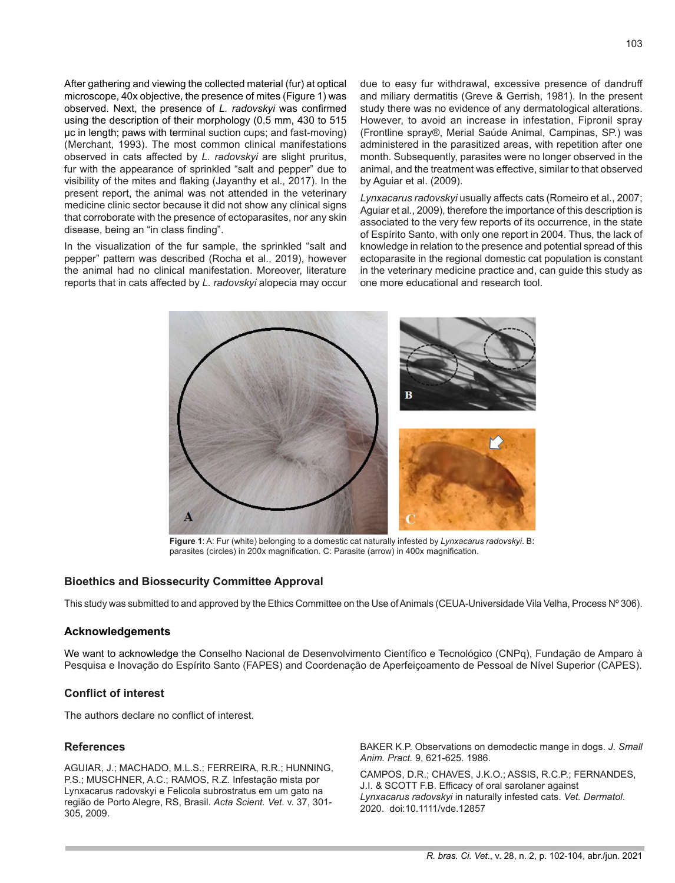After gathering and viewing the collected material (fur) at optical microscope, 40x objective, the presence of mites (Figure 1) was observed. Next, the presence of *L. radovskyi* was confirmed using the description of their morphology (0.5 mm, 430 to 515 μc in length; paws with terminal suction cups; and fast-moving) (Merchant, 1993). The most common clinical manifestations observed in cats affected by *L. radovskyi* are slight pruritus, fur with the appearance of sprinkled "salt and pepper" due to visibility of the mites and flaking (Jayanthy et al., 2017). In the present report, the animal was not attended in the veterinary medicine clinic sector because it did not show any clinical signs that corroborate with the presence of ectoparasites, nor any skin disease, being an "in class finding".

In the visualization of the fur sample, the sprinkled "salt and pepper" pattern was described (Rocha et al., 2019), however the animal had no clinical manifestation. Moreover, literature reports that in cats affected by *L. radovskyi* alopecia may occur due to easy fur withdrawal, excessive presence of dandruff and miliary dermatitis (Greve & Gerrish, 1981). In the present study there was no evidence of any dermatological alterations. However, to avoid an increase in infestation, Fipronil spray (Frontline spray®, Merial Saúde Animal, Campinas, SP.) was administered in the parasitized areas, with repetition after one month. Subsequently, parasites were no longer observed in the animal, and the treatment was effective, similar to that observed by Aguiar et al. (2009).

*Lynxacarus radovskyi* usually affects cats (Romeiro et al., 2007; Aguiar et al., 2009), therefore the importance of this description is associated to the very few reports of its occurrence, in the state of Espírito Santo, with only one report in 2004. Thus, the lack of knowledge in relation to the presence and potential spread of this ectoparasite in the regional domestic cat population is constant in the veterinary medicine practice and, can guide this study as one more educational and research tool.



**Figure 1**: A: Fur (white) belonging to a domestic cat naturally infested by *Lynxacarus radovskyi*. B: parasites (circles) in 200x magnification. C: Parasite (arrow) in 400x magnification.

#### **Bioethics and Biossecurity Committee Approval**

This study was submitted to and approved by the Ethics Committee on the Use of Animals (CEUA-Universidade Vila Velha, Process Nº 306).

#### **Acknowledgements**

We want to acknowledge the Conselho Nacional de Desenvolvimento Científico e Tecnológico (CNPq), Fundação de Amparo à Pesquisa e Inovação do Espírito Santo (FAPES) and Coordenação de Aperfeiçoamento de Pessoal de Nível Superior (CAPES).

### **Conflict of interest**

The authors declare no conflict of interest.

#### **References**

AGUIAR, J.; MACHADO, M.L.S.; FERREIRA, R.R.; HUNNING, P.S.; MUSCHNER, A.C.; RAMOS, R.Z. Infestação mista por Lynxacarus radovskyi e Felicola subrostratus em um gato na região de Porto Alegre, RS, Brasil. *Acta Scient. Vet.* v. 37, 301- 305, 2009.

BAKER K.P. Observations on demodectic mange in dogs. *J. Small Anim. Pract.* 9, 621-625. 1986.

CAMPOS, D.R.; CHAVES, J.K.O.; ASSIS, R.C.P.; FERNANDES, J.I. & SCOTT F.B. Efficacy of oral sarolaner against *Lynxacarus radovskyi* in naturally infested cats. *Vet. Dermatol*. 2020. doi:10.1111/vde.12857